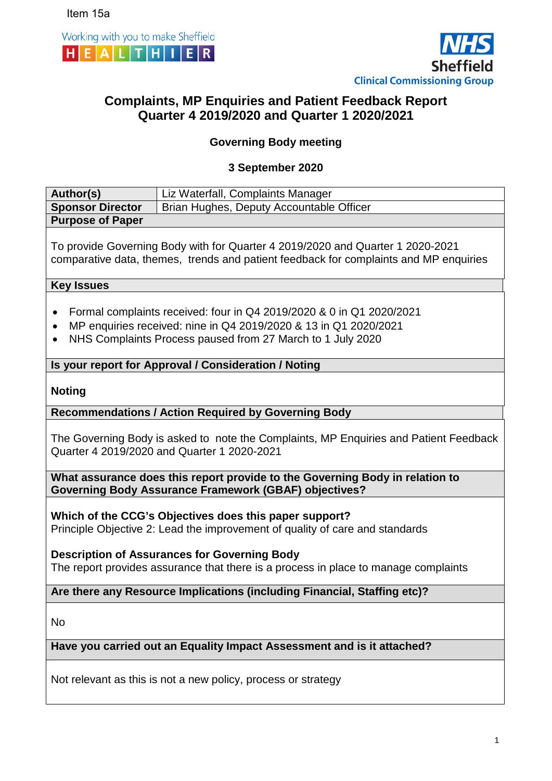



# **Complaints, MP Enquiries and Patient Feedback Report Quarter 4 2019/2020 and Quarter 1 2020/2021**

# **Governing Body meeting**

## **3 September 2020**

| Author(s)                                                                                                                                                                                                                        | Liz Waterfall, Complaints Manager                                                                                                            |  |  |  |  |  |  |  |
|----------------------------------------------------------------------------------------------------------------------------------------------------------------------------------------------------------------------------------|----------------------------------------------------------------------------------------------------------------------------------------------|--|--|--|--|--|--|--|
| <b>Sponsor Director</b>                                                                                                                                                                                                          | Brian Hughes, Deputy Accountable Officer                                                                                                     |  |  |  |  |  |  |  |
| <b>Purpose of Paper</b>                                                                                                                                                                                                          |                                                                                                                                              |  |  |  |  |  |  |  |
| To provide Governing Body with for Quarter 4 2019/2020 and Quarter 1 2020-2021<br>comparative data, themes, trends and patient feedback for complaints and MP enquiries                                                          |                                                                                                                                              |  |  |  |  |  |  |  |
| <b>Key Issues</b>                                                                                                                                                                                                                |                                                                                                                                              |  |  |  |  |  |  |  |
| Formal complaints received: four in Q4 2019/2020 & 0 in Q1 2020/2021<br>$\bullet$<br>MP enquiries received: nine in Q4 2019/2020 & 13 in Q1 2020/2021<br>NHS Complaints Process paused from 27 March to 1 July 2020<br>$\bullet$ |                                                                                                                                              |  |  |  |  |  |  |  |
|                                                                                                                                                                                                                                  | Is your report for Approval / Consideration / Noting                                                                                         |  |  |  |  |  |  |  |
| <b>Noting</b>                                                                                                                                                                                                                    |                                                                                                                                              |  |  |  |  |  |  |  |
|                                                                                                                                                                                                                                  | <b>Recommendations / Action Required by Governing Body</b>                                                                                   |  |  |  |  |  |  |  |
| The Governing Body is asked to note the Complaints, MP Enquiries and Patient Feedback<br>Quarter 4 2019/2020 and Quarter 1 2020-2021                                                                                             |                                                                                                                                              |  |  |  |  |  |  |  |
|                                                                                                                                                                                                                                  | What assurance does this report provide to the Governing Body in relation to<br><b>Governing Body Assurance Framework (GBAF) objectives?</b> |  |  |  |  |  |  |  |
| Which of the CCG's Objectives does this paper support?<br>Principle Objective 2: Lead the improvement of quality of care and standards                                                                                           |                                                                                                                                              |  |  |  |  |  |  |  |
| <b>Description of Assurances for Governing Body</b><br>The report provides assurance that there is a process in place to manage complaints                                                                                       |                                                                                                                                              |  |  |  |  |  |  |  |
| Are there any Resource Implications (including Financial, Staffing etc)?                                                                                                                                                         |                                                                                                                                              |  |  |  |  |  |  |  |
| No                                                                                                                                                                                                                               |                                                                                                                                              |  |  |  |  |  |  |  |
| Have you carried out an Equality Impact Assessment and is it attached?                                                                                                                                                           |                                                                                                                                              |  |  |  |  |  |  |  |
|                                                                                                                                                                                                                                  | Not relevant as this is not a new policy, process or strategy                                                                                |  |  |  |  |  |  |  |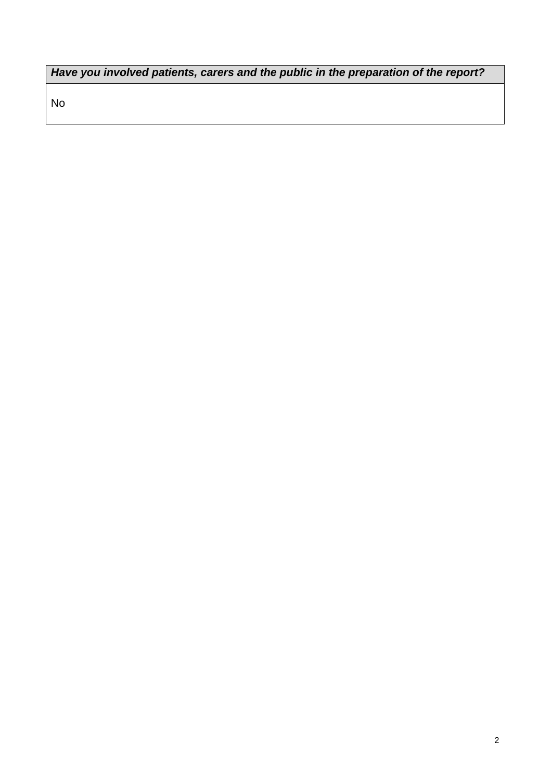*Have you involved patients, carers and the public in the preparation of the report?* 

No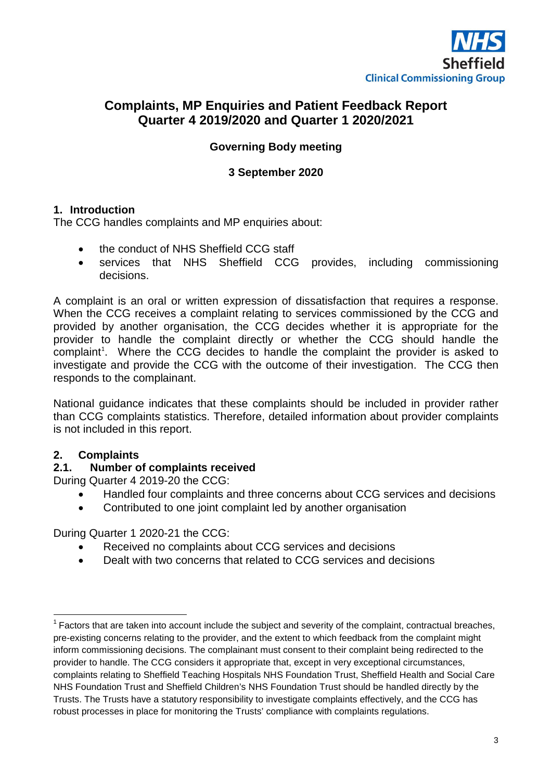

# **Complaints, MP Enquiries and Patient Feedback Report Quarter 4 2019/2020 and Quarter 1 2020/2021**

## **Governing Body meeting**

#### **3 September 2020**

#### **1. Introduction**

The CCG handles complaints and MP enquiries about:

- the conduct of NHS Sheffield CCG staff
- services that NHS Sheffield CCG provides, including commissioning decisions.

A complaint is an oral or written expression of dissatisfaction that requires a response. When the CCG receives a complaint relating to services commissioned by the CCG and provided by another organisation, the CCG decides whether it is appropriate for the provider to handle the complaint directly or whether the CCG should handle the complaint<sup>[1](#page-2-0)</sup>. Where the CCG decides to handle the complaint the provider is asked to investigate and provide the CCG with the outcome of their investigation. The CCG then responds to the complainant.

National guidance indicates that these complaints should be included in provider rather than CCG complaints statistics. Therefore, detailed information about provider complaints is not included in this report.

## **2. Complaints**

#### **2.1. Number of complaints received**

During Quarter 4 2019-20 the CCG:

- Handled four complaints and three concerns about CCG services and decisions
- Contributed to one joint complaint led by another organisation

During Quarter 1 2020-21 the CCG:

- Received no complaints about CCG services and decisions
- Dealt with two concerns that related to CCG services and decisions

<span id="page-2-0"></span> $1$  Factors that are taken into account include the subject and severity of the complaint, contractual breaches, pre-existing concerns relating to the provider, and the extent to which feedback from the complaint might inform commissioning decisions. The complainant must consent to their complaint being redirected to the provider to handle. The CCG considers it appropriate that, except in very exceptional circumstances, complaints relating to Sheffield Teaching Hospitals NHS Foundation Trust, Sheffield Health and Social Care NHS Foundation Trust and Sheffield Children's NHS Foundation Trust should be handled directly by the Trusts. The Trusts have a statutory responsibility to investigate complaints effectively, and the CCG has robust processes in place for monitoring the Trusts' compliance with complaints regulations.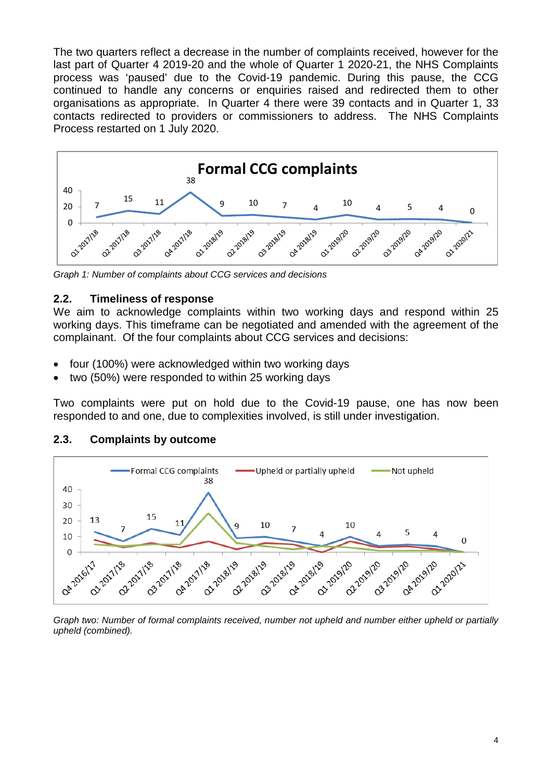The two quarters reflect a decrease in the number of complaints received, however for the last part of Quarter 4 2019-20 and the whole of Quarter 1 2020-21, the NHS Complaints process was 'paused' due to the Covid-19 pandemic. During this pause, the CCG continued to handle any concerns or enquiries raised and redirected them to other organisations as appropriate. In Quarter 4 there were 39 contacts and in Quarter 1, 33 contacts redirected to providers or commissioners to address. The NHS Complaints Process restarted on 1 July 2020.



*Graph 1: Number of complaints about CCG services and decisions*

#### **2.2. Timeliness of response**

We aim to acknowledge complaints within two working days and respond within 25 working days. This timeframe can be negotiated and amended with the agreement of the complainant. Of the four complaints about CCG services and decisions:

- four (100%) were acknowledged within two working days
- two (50%) were responded to within 25 working days

Two complaints were put on hold due to the Covid-19 pause, one has now been responded to and one, due to complexities involved, is still under investigation.

## **2.3. Complaints by outcome**



*Graph two: Number of formal complaints received, number not upheld and number either upheld or partially upheld (combined).*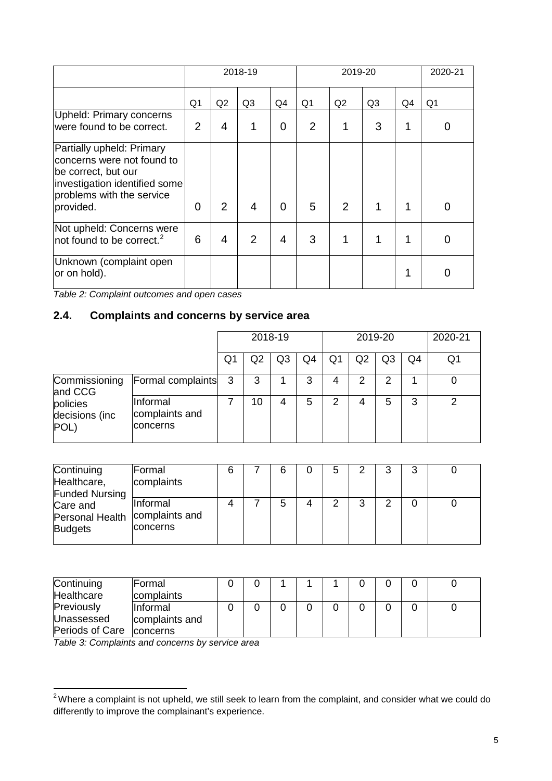|                                                                                                                                                           | 2018-19        |    |                |          |                | 2020-21 |    |    |                |
|-----------------------------------------------------------------------------------------------------------------------------------------------------------|----------------|----|----------------|----------|----------------|---------|----|----|----------------|
|                                                                                                                                                           | Q1             | Q2 | Q <sub>3</sub> | Q4       | Q <sub>1</sub> | Q2      | Q3 | Q4 | Q <sub>1</sub> |
| <b>Upheld: Primary concerns</b><br>were found to be correct.                                                                                              | $\overline{2}$ | 4  | 1              | 0        | $\overline{2}$ |         | 3  |    |                |
| Partially upheld: Primary<br>concerns were not found to<br>be correct, but our<br>investigation identified some<br>problems with the service<br>provided. | 0              | 2  | 4              | $\Omega$ | 5              | 2       | 1  |    |                |
|                                                                                                                                                           |                |    |                |          |                |         |    |    |                |
| Not upheld: Concerns were<br>not found to be correct. $2$                                                                                                 | 6              | 4  | 2              | 4        | 3              |         |    |    |                |
| Unknown (complaint open<br>or on hold).                                                                                                                   |                |    |                |          |                |         |    |    |                |

*Table 2: Complaint outcomes and open cases*

## **2.4. Complaints and concerns by service area**

|                                    |                                               | 2018-19 |    |                |    | 2019-20 |    |                |    | 2020-21 |
|------------------------------------|-----------------------------------------------|---------|----|----------------|----|---------|----|----------------|----|---------|
|                                    |                                               | Q       | Q2 | Q <sub>3</sub> | Q4 | Q1      | Q2 | Q <sub>3</sub> | Q4 | Q1      |
| Commissioning<br>and CCG           | Formal complaints                             | - 3     | 3  |                | 3  | 4       | 2  | 2              |    | 0       |
| policies<br>decisions (inc<br>POL) | Informal<br>complaints and<br><b>concerns</b> |         | 10 | 4              | 5  | 2       | 4  | 5              | 3  | 2       |

| Continuing            | Formal         |  |   | 5 | ◠ | າ |  |
|-----------------------|----------------|--|---|---|---|---|--|
| Healthcare,           | complaints     |  |   |   |   |   |  |
| <b>Funded Nursing</b> |                |  |   |   |   |   |  |
| Care and              | Informal       |  | 5 |   | 3 | ົ |  |
| Personal Health       | complaints and |  |   |   |   |   |  |
| <b>Budgets</b>        | concerns       |  |   |   |   |   |  |

| Continuing      | <b> Formal</b>  |  |  |  |  |  |
|-----------------|-----------------|--|--|--|--|--|
| Healthcare      | complaints      |  |  |  |  |  |
| Previously      | lInformal       |  |  |  |  |  |
| Unassessed      | complaints and  |  |  |  |  |  |
| Periods of Care | <b>concerns</b> |  |  |  |  |  |

*Table 3: Complaints and concerns by service area*

<span id="page-4-0"></span> $2$ Where a complaint is not upheld, we still seek to learn from the complaint, and consider what we could do differently to improve the complainant's experience.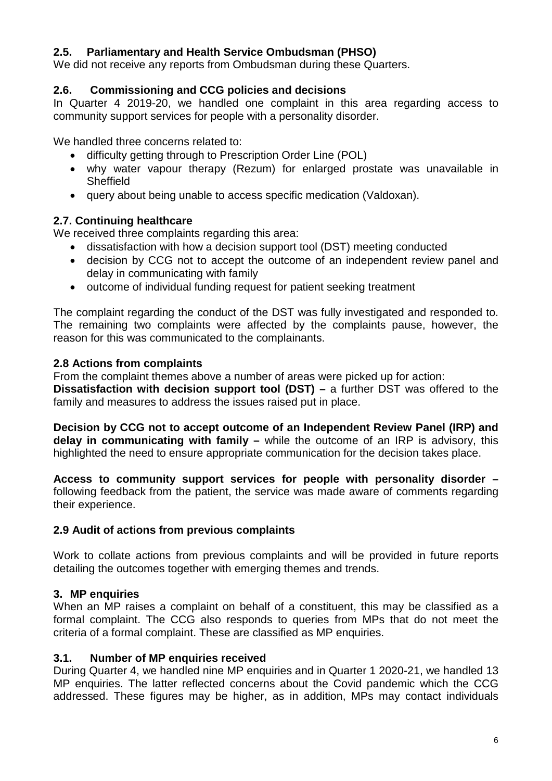## **2.5. Parliamentary and Health Service Ombudsman (PHSO)**

We did not receive any reports from Ombudsman during these Quarters.

## **2.6. Commissioning and CCG policies and decisions**

In Quarter 4 2019-20, we handled one complaint in this area regarding access to community support services for people with a personality disorder.

We handled three concerns related to:

- difficulty getting through to Prescription Order Line (POL)
- why water vapour therapy (Rezum) for enlarged prostate was unavailable in **Sheffield**
- query about being unable to access specific medication (Valdoxan).

## **2.7. Continuing healthcare**

We received three complaints regarding this area:

- dissatisfaction with how a decision support tool (DST) meeting conducted
- decision by CCG not to accept the outcome of an independent review panel and delay in communicating with family
- outcome of individual funding request for patient seeking treatment

The complaint regarding the conduct of the DST was fully investigated and responded to. The remaining two complaints were affected by the complaints pause, however, the reason for this was communicated to the complainants.

## **2.8 Actions from complaints**

From the complaint themes above a number of areas were picked up for action:

**Dissatisfaction with decision support tool (DST) –** a further DST was offered to the family and measures to address the issues raised put in place.

**Decision by CCG not to accept outcome of an Independent Review Panel (IRP) and delay in communicating with family –** while the outcome of an IRP is advisory, this highlighted the need to ensure appropriate communication for the decision takes place.

**Access to community support services for people with personality disorder –** following feedback from the patient, the service was made aware of comments regarding their experience.

## **2.9 Audit of actions from previous complaints**

Work to collate actions from previous complaints and will be provided in future reports detailing the outcomes together with emerging themes and trends.

## **3. MP enquiries**

When an MP raises a complaint on behalf of a constituent, this may be classified as a formal complaint. The CCG also responds to queries from MPs that do not meet the criteria of a formal complaint. These are classified as MP enquiries.

## **3.1. Number of MP enquiries received**

During Quarter 4, we handled nine MP enquiries and in Quarter 1 2020-21, we handled 13 MP enquiries. The latter reflected concerns about the Covid pandemic which the CCG addressed. These figures may be higher, as in addition, MPs may contact individuals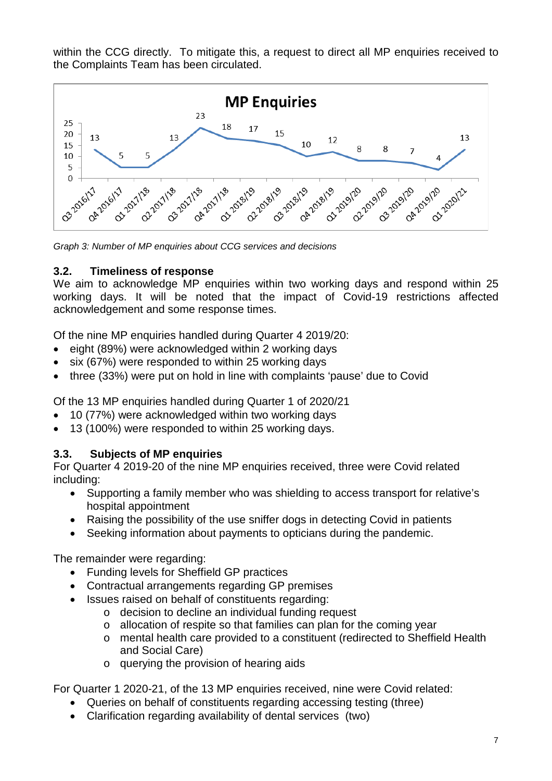within the CCG directly. To mitigate this, a request to direct all MP enquiries received to the Complaints Team has been circulated.



*Graph 3: Number of MP enquiries about CCG services and decisions*

## **3.2. Timeliness of response**

We aim to acknowledge MP enquiries within two working days and respond within 25 working days. It will be noted that the impact of Covid-19 restrictions affected acknowledgement and some response times.

Of the nine MP enquiries handled during Quarter 4 2019/20:

- eight (89%) were acknowledged within 2 working days
- six (67%) were responded to within 25 working days
- three (33%) were put on hold in line with complaints 'pause' due to Covid

Of the 13 MP enquiries handled during Quarter 1 of 2020/21

- 10 (77%) were acknowledged within two working days
- 13 (100%) were responded to within 25 working days.

## **3.3. Subjects of MP enquiries**

For Quarter 4 2019-20 of the nine MP enquiries received, three were Covid related including:

- Supporting a family member who was shielding to access transport for relative's hospital appointment
- Raising the possibility of the use sniffer dogs in detecting Covid in patients
- Seeking information about payments to opticians during the pandemic.

The remainder were regarding:

- Funding levels for Sheffield GP practices
- Contractual arrangements regarding GP premises
- Issues raised on behalf of constituents regarding:
	- o decision to decline an individual funding request
	- o allocation of respite so that families can plan for the coming year
	- o mental health care provided to a constituent (redirected to Sheffield Health and Social Care)
	- o querying the provision of hearing aids

For Quarter 1 2020-21, of the 13 MP enquiries received, nine were Covid related:

- Queries on behalf of constituents regarding accessing testing (three)
- Clarification regarding availability of dental services (two)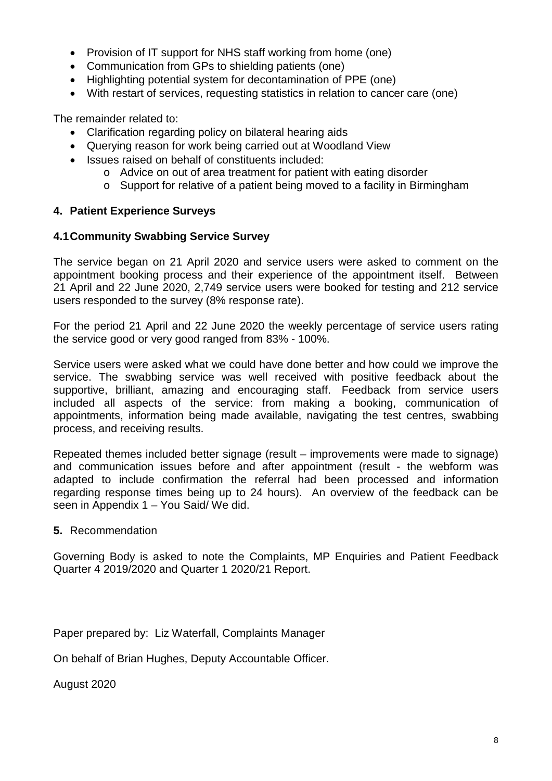- Provision of IT support for NHS staff working from home (one)
- Communication from GPs to shielding patients (one)
- Highlighting potential system for decontamination of PPE (one)
- With restart of services, requesting statistics in relation to cancer care (one)

The remainder related to:

- Clarification regarding policy on bilateral hearing aids
- Querying reason for work being carried out at Woodland View
- Issues raised on behalf of constituents included:
	- o Advice on out of area treatment for patient with eating disorder
	- o Support for relative of a patient being moved to a facility in Birmingham

#### **4. Patient Experience Surveys**

#### **4.1Community Swabbing Service Survey**

The service began on 21 April 2020 and service users were asked to comment on the appointment booking process and their experience of the appointment itself. Between 21 April and 22 June 2020, 2,749 service users were booked for testing and 212 service users responded to the survey (8% response rate).

For the period 21 April and 22 June 2020 the weekly percentage of service users rating the service good or very good ranged from 83% - 100%.

Service users were asked what we could have done better and how could we improve the service. The swabbing service was well received with positive feedback about the supportive, brilliant, amazing and encouraging staff. Feedback from service users included all aspects of the service: from making a booking, communication of appointments, information being made available, navigating the test centres, swabbing process, and receiving results.

Repeated themes included better signage (result – improvements were made to signage) and communication issues before and after appointment (result - the webform was adapted to include confirmation the referral had been processed and information regarding response times being up to 24 hours). An overview of the feedback can be seen in Appendix 1 – You Said/ We did.

#### **5.** Recommendation

Governing Body is asked to note the Complaints, MP Enquiries and Patient Feedback Quarter 4 2019/2020 and Quarter 1 2020/21 Report.

Paper prepared by: Liz Waterfall, Complaints Manager

On behalf of Brian Hughes, Deputy Accountable Officer.

August 2020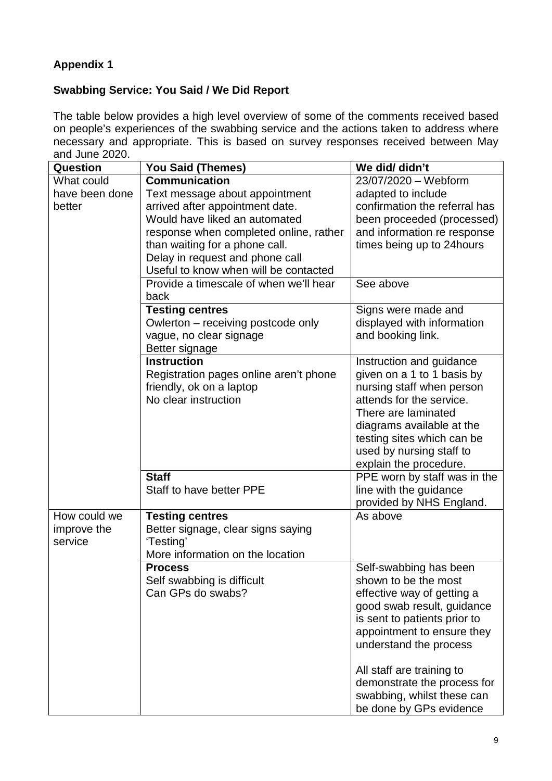# **Appendix 1**

## **Swabbing Service: You Said / We Did Report**

The table below provides a high level overview of some of the comments received based on people's experiences of the swabbing service and the actions taken to address where necessary and appropriate. This is based on survey responses received between May and June 2020.

| <b>Question</b> | <b>You Said (Themes)</b>               | We did/ didn't                |
|-----------------|----------------------------------------|-------------------------------|
| What could      | <b>Communication</b>                   | 23/07/2020 - Webform          |
| have been done  | Text message about appointment         | adapted to include            |
| better          | arrived after appointment date.        | confirmation the referral has |
|                 | Would have liked an automated          | been proceeded (processed)    |
|                 | response when completed online, rather | and information re response   |
|                 | than waiting for a phone call.         | times being up to 24 hours    |
|                 | Delay in request and phone call        |                               |
|                 | Useful to know when will be contacted  |                               |
|                 | Provide a timescale of when we'll hear | See above                     |
|                 | back                                   |                               |
|                 | <b>Testing centres</b>                 | Signs were made and           |
|                 | Owlerton – receiving postcode only     | displayed with information    |
|                 | vague, no clear signage                | and booking link.             |
|                 | Better signage                         |                               |
|                 | <b>Instruction</b>                     | Instruction and guidance      |
|                 | Registration pages online aren't phone | given on a 1 to 1 basis by    |
|                 | friendly, ok on a laptop               | nursing staff when person     |
|                 | No clear instruction                   | attends for the service.      |
|                 |                                        | There are laminated           |
|                 |                                        | diagrams available at the     |
|                 |                                        | testing sites which can be    |
|                 |                                        | used by nursing staff to      |
|                 |                                        | explain the procedure.        |
|                 | <b>Staff</b>                           | PPE worn by staff was in the  |
|                 | Staff to have better PPE               | line with the guidance        |
|                 |                                        | provided by NHS England.      |
| How could we    | <b>Testing centres</b>                 | As above                      |
| improve the     | Better signage, clear signs saying     |                               |
| service         | 'Testing'                              |                               |
|                 | More information on the location       |                               |
|                 | <b>Process</b>                         | Self-swabbing has been        |
|                 | Self swabbing is difficult             | shown to be the most          |
|                 | Can GPs do swabs?                      | effective way of getting a    |
|                 |                                        | good swab result, guidance    |
|                 |                                        | is sent to patients prior to  |
|                 |                                        | appointment to ensure they    |
|                 |                                        | understand the process        |
|                 |                                        | All staff are training to     |
|                 |                                        | demonstrate the process for   |
|                 |                                        | swabbing, whilst these can    |
|                 |                                        | be done by GPs evidence       |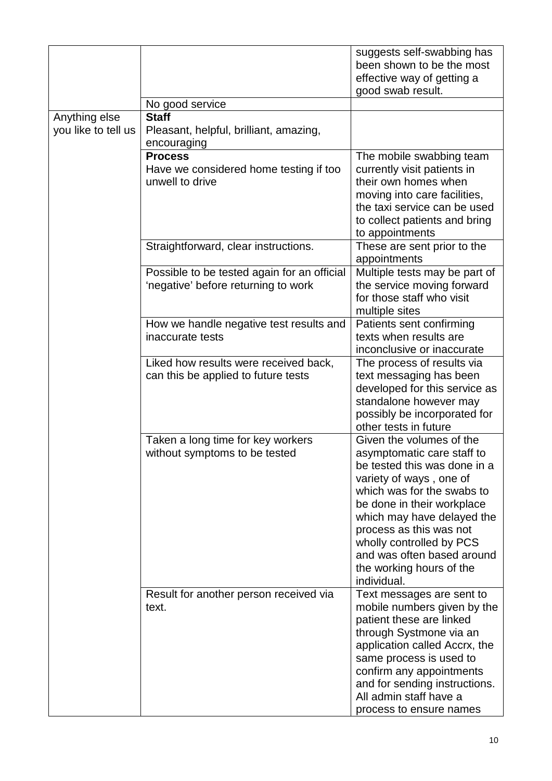|                                      | No good service                                                                    | suggests self-swabbing has<br>been shown to be the most<br>effective way of getting a<br>good swab result.                                                                                                                                                                                                                                  |
|--------------------------------------|------------------------------------------------------------------------------------|---------------------------------------------------------------------------------------------------------------------------------------------------------------------------------------------------------------------------------------------------------------------------------------------------------------------------------------------|
|                                      |                                                                                    |                                                                                                                                                                                                                                                                                                                                             |
| Anything else<br>you like to tell us | <b>Staff</b><br>Pleasant, helpful, brilliant, amazing,<br>encouraging              |                                                                                                                                                                                                                                                                                                                                             |
|                                      | <b>Process</b><br>Have we considered home testing if too<br>unwell to drive        | The mobile swabbing team<br>currently visit patients in<br>their own homes when<br>moving into care facilities,<br>the taxi service can be used<br>to collect patients and bring<br>to appointments                                                                                                                                         |
|                                      | Straightforward, clear instructions.                                               | These are sent prior to the<br>appointments                                                                                                                                                                                                                                                                                                 |
|                                      | Possible to be tested again for an official<br>'negative' before returning to work | Multiple tests may be part of<br>the service moving forward<br>for those staff who visit<br>multiple sites                                                                                                                                                                                                                                  |
|                                      | How we handle negative test results and<br>inaccurate tests                        | Patients sent confirming<br>texts when results are<br>inconclusive or inaccurate                                                                                                                                                                                                                                                            |
|                                      | Liked how results were received back,<br>can this be applied to future tests       | The process of results via<br>text messaging has been<br>developed for this service as<br>standalone however may<br>possibly be incorporated for<br>other tests in future                                                                                                                                                                   |
|                                      | Taken a long time for key workers<br>without symptoms to be tested                 | Given the volumes of the<br>asymptomatic care staff to<br>be tested this was done in a<br>variety of ways, one of<br>which was for the swabs to<br>be done in their workplace<br>which may have delayed the<br>process as this was not<br>wholly controlled by PCS<br>and was often based around<br>the working hours of the<br>individual. |
|                                      | Result for another person received via<br>text.                                    | Text messages are sent to<br>mobile numbers given by the<br>patient these are linked<br>through Systmone via an<br>application called Accrx, the<br>same process is used to<br>confirm any appointments<br>and for sending instructions.<br>All admin staff have a<br>process to ensure names                                               |